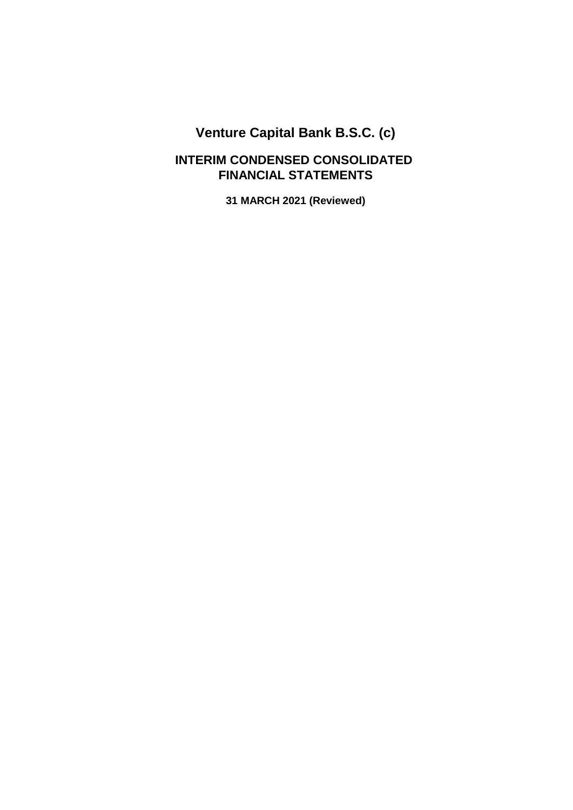### **FINANCIAL STATEMENTS INTERIM CONDENSED CONSOLIDATED**

**31 MARCH 2021 (Reviewed)**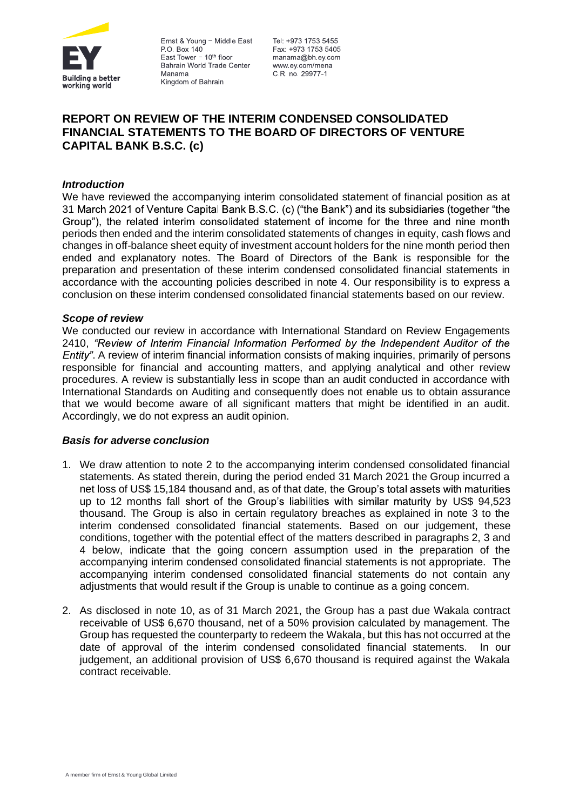

Ernst & Young - Middle East P.O. Box 140 East Tower  $-10<sup>th</sup>$  floor Bahrain World Trade Center Manama Kingdom of Bahrain

Tel: +973 1753 5455 Fax: +973 1753 5405 manama@bh.ey.com www.ev.com/mena C.R. no. 29977-1

### **REPORT ON REVIEW OF THE INTERIM CONDENSED CONSOLIDATED FINANCIAL STATEMENTS TO THE BOARD OF DIRECTORS OF VENTURE CAPITAL BANK B.S.C. (c)**

### *Introduction*

We have reviewed the accompanying interim consolidated statement of financial position as at 31 March 2021 of Venture Capital Bank B.S.C. (c) ("the Bank") and its subsidiaries (together "the Group"), the related interim consolidated statement of income for the three and nine month periods then ended and the interim consolidated statements of changes in equity, cash flows and changes in off-balance sheet equity of investment account holders for the nine month period then ended and explanatory notes. The Board of Directors of the Bank is responsible for the preparation and presentation of these interim condensed consolidated financial statements in accordance with the accounting policies described in note 4. Our responsibility is to express a conclusion on these interim condensed consolidated financial statements based on our review.

### *Scope of review*

We conducted our review in accordance with International Standard on Review Engagements 2410. "Review of Interim Financial Information Performed by the Independent Auditor of the Entity". A review of interim financial information consists of making inquiries, primarily of persons responsible for financial and accounting matters, and applying analytical and other review procedures. A review is substantially less in scope than an audit conducted in accordance with International Standards on Auditing and consequently does not enable us to obtain assurance that we would become aware of all significant matters that might be identified in an audit. Accordingly, we do not express an audit opinion.

### *Basis for adverse conclusion*

- 1. We draw attention to note 2 to the accompanying interim condensed consolidated financial statements. As stated therein, during the period ended 31 March 2021 the Group incurred a net loss of US\$ 15,184 thousand and, as of that date, the Group's total assets with maturities up to 12 months fall short of the Group's liabilities with similar maturity by US\$ 94,523 thousand. The Group is also in certain regulatory breaches as explained in note 3 to the interim condensed consolidated financial statements. Based on our judgement, these conditions, together with the potential effect of the matters described in paragraphs 2, 3 and 4 below, indicate that the going concern assumption used in the preparation of the accompanying interim condensed consolidated financial statements is not appropriate. The accompanying interim condensed consolidated financial statements do not contain any adjustments that would result if the Group is unable to continue as a going concern.
- 2. As disclosed in note 10, as of 31 March 2021, the Group has a past due Wakala contract receivable of US\$ 6,670 thousand, net of a 50% provision calculated by management. The Group has requested the counterparty to redeem the Wakala, but this has not occurred at the date of approval of the interim condensed consolidated financial statements. In our judgement, an additional provision of US\$ 6,670 thousand is required against the Wakala contract receivable.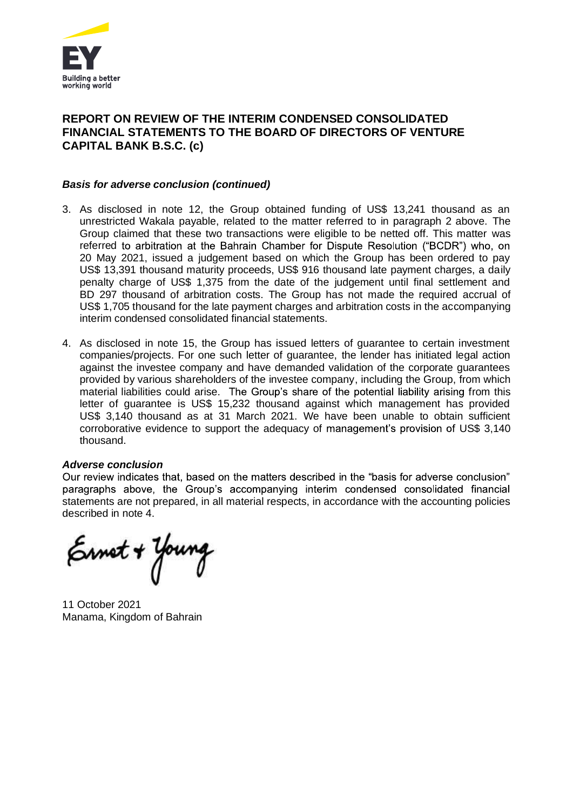

### **REPORT ON REVIEW OF THE INTERIM CONDENSED CONSOLIDATED FINANCIAL STATEMENTS TO THE BOARD OF DIRECTORS OF VENTURE CAPITAL BANK B.S.C. (c)**

### *Basis for adverse conclusion (continued)*

- 3. As disclosed in note 12, the Group obtained funding of US\$ 13,241 thousand as an unrestricted Wakala payable, related to the matter referred to in paragraph 2 above. The Group claimed that these two transactions were eligible to be netted off. This matter was referred to arbitration at the Bahrain Chamber for Dispute Resolution ("BCDR") who, on 20 May 2021, issued a judgement based on which the Group has been ordered to pay US\$ 13,391 thousand maturity proceeds, US\$ 916 thousand late payment charges, a daily penalty charge of US\$ 1,375 from the date of the judgement until final settlement and BD 297 thousand of arbitration costs. The Group has not made the required accrual of US\$ 1,705 thousand for the late payment charges and arbitration costs in the accompanying interim condensed consolidated financial statements.
- 4. As disclosed in note 15, the Group has issued letters of guarantee to certain investment companies/projects. For one such letter of guarantee, the lender has initiated legal action against the investee company and have demanded validation of the corporate guarantees provided by various shareholders of the investee company, including the Group, from which material liabilities could arise. The Group's share of the potential liability arising from this letter of guarantee is US\$ 15,232 thousand against which management has provided US\$ 3,140 thousand as at 31 March 2021. We have been unable to obtain sufficient corroborative evidence to support the adequacy of management's provision of US\$ 3,140 thousand.

### *Adverse conclusion*

Our review indicates that, based on the matters described in the "basis for adverse conclusion" paragraphs above, the Group's accompanying interim condensed consolidated financial statements are not prepared, in all material respects, in accordance with the accounting policies described in note 4.

Ernet + Young

11 October 2021 Manama, Kingdom of Bahrain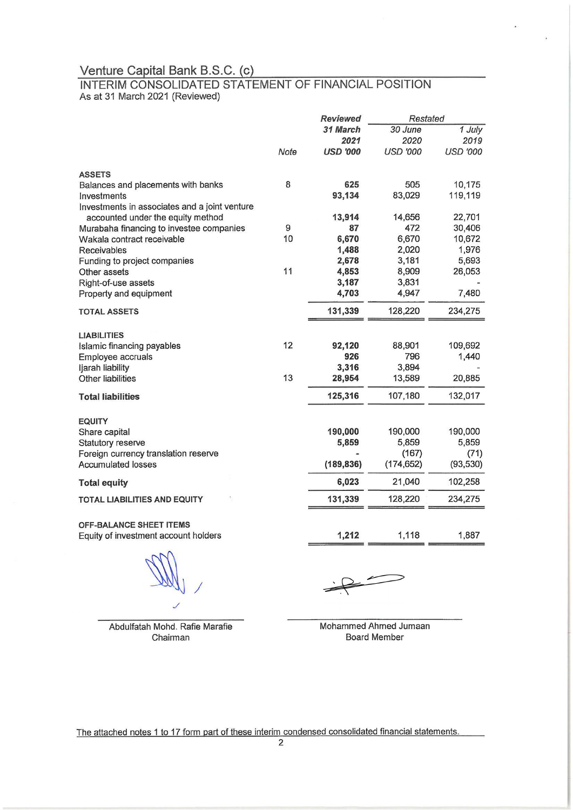# Venture Capital Bank B.S.C. (c)<br>INTERIM CONSOLIDATED STATEMENT OF FINANCIAL POSITION As at 31 March 2021 (Reviewed)

|                                                           |      | <b>Reviewed</b><br>Restated |                  |                 |
|-----------------------------------------------------------|------|-----------------------------|------------------|-----------------|
|                                                           |      | 31 March                    | 30 June          | $1$ July        |
|                                                           |      | 2021                        | 2020             | 2019            |
|                                                           | Note | <b>USD '000</b>             | <b>USD '000</b>  | <b>USD '000</b> |
| <b>ASSETS</b>                                             |      |                             |                  |                 |
| Balances and placements with banks                        | 8    | 625                         | 505              | 10,175          |
| Investments                                               |      | 93,134                      | 83,029           | 119,119         |
| Investments in associates and a joint venture             |      |                             |                  |                 |
| accounted under the equity method                         |      | 13,914                      | 14,656           | 22,701          |
| Murabaha financing to investee companies                  | 9    | 87                          | 472              | 30,406          |
| Wakala contract receivable                                | 10   | 6,670                       | 6,670            | 10,672          |
| Receivables                                               |      | 1,488                       | 2,020            | 1,976           |
| Funding to project companies                              |      | 2,678                       | 3,181            | 5,693           |
| Other assets                                              | 11   | 4,853                       | 8,909            | 26,053          |
| Right-of-use assets                                       |      | 3,187                       | 3,831            |                 |
| Property and equipment                                    |      | 4,703                       | 4,947            | 7,480           |
| <b>TOTAL ASSETS</b>                                       |      | 131,339                     | 128,220          | 234,275         |
| <b>LIABILITIES</b>                                        |      |                             |                  |                 |
| Islamic financing payables                                | 12   | 92,120                      | 88,901           | 109,692         |
| Employee accruals                                         |      | 926                         | 796              | 1,440           |
| ljarah liability                                          |      | 3,316                       | 3,894            |                 |
| Other liabilities                                         | 13   | 28,954                      | 13,589           | 20,885          |
| <b>Total liabilities</b>                                  |      | 125,316                     | 107,180          | 132,017         |
|                                                           |      |                             |                  |                 |
| <b>EQUITY</b>                                             |      | 190,000                     |                  | 190,000         |
| Share capital                                             |      | 5,859                       | 190,000<br>5,859 | 5,859           |
| Statutory reserve<br>Foreign currency translation reserve |      |                             | (167)            | (71)            |
| <b>Accumulated losses</b>                                 |      | (189, 836)                  | (174, 652)       | (93, 530)       |
|                                                           |      |                             |                  |                 |
| <b>Total equity</b>                                       |      | 6,023                       | 21,040           | 102,258         |
| <b>TOTAL LIABILITIES AND EQUITY</b>                       |      | 131,339                     | 128,220          | 234,275         |
| <b>OFF-BALANCE SHEET ITEMS</b>                            |      |                             |                  |                 |
| Equity of investment account holders                      |      | 1,212                       | 1,118            | 1,887           |

Abdulfatah Mohd. Rafie Marafie Chairman

Mohammed Ahmed Jumaan **Board Member** 

The attached notes 1 to 17 form part of these interim condensed consolidated financial statements.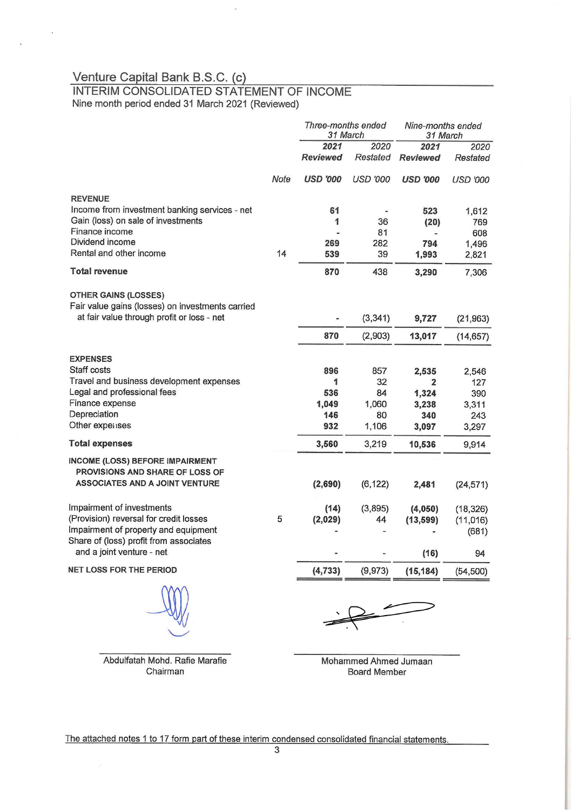$\overline{\Delta}$ 

 $\bar{\nu}$ 

# Venture Capital Bank B.S.C. (c)<br>INTERIM CONSOLIDATED STATEMENT OF INCOME Nine month period ended 31 March 2021 (Reviewed)

|                                                                                 |      | Three-months ended<br>31 March |                 | Nine-months ended<br>31 March |                 |
|---------------------------------------------------------------------------------|------|--------------------------------|-----------------|-------------------------------|-----------------|
|                                                                                 |      | 2021                           | 2020            | 2021                          | 2020            |
|                                                                                 |      | <b>Reviewed</b>                | Restated        | <b>Reviewed</b>               | Restated        |
|                                                                                 | Note | <b>USD '000</b>                | <b>USD '000</b> | <b>USD '000</b>               | <b>USD '000</b> |
| <b>REVENUE</b>                                                                  |      |                                |                 |                               |                 |
| Income from investment banking services - net                                   |      | 61                             |                 | 523                           | 1,612           |
| Gain (loss) on sale of investments                                              |      | 1                              | 36              | (20)                          | 769             |
| Finance income<br>Dividend income                                               |      |                                | 81              |                               | 608             |
| Rental and other income                                                         | 14   | 269<br>539                     | 282<br>39       | 794                           | 1,496           |
|                                                                                 |      |                                |                 | 1,993                         | 2,821           |
| <b>Total revenue</b>                                                            |      | 870                            | 438             | 3,290                         | 7,306           |
| <b>OTHER GAINS (LOSSES)</b><br>Fair value gains (losses) on investments carried |      |                                |                 |                               |                 |
| at fair value through profit or loss - net                                      |      |                                | (3, 341)        | 9,727                         | (21, 963)       |
|                                                                                 |      | 870                            | (2,903)         | 13,017                        | (14, 657)       |
| <b>EXPENSES</b><br>Staff costs                                                  |      | 896                            | 857             | 2,535                         | 2,546           |
| Travel and business development expenses                                        |      | 1                              | 32              | $\overline{2}$                | 127             |
| Legal and professional fees                                                     |      | 536                            | 84              | 1,324                         | 390             |
| Finance expense                                                                 |      | 1,049                          | 1,060           | 3,238                         | 3,311           |
| Depreciation                                                                    |      | 146                            | 80              | 340                           | 243             |
| Other expenses                                                                  |      | 932                            | 1,106           | 3,097                         | 3,297           |
| <b>Total expenses</b>                                                           |      | 3,560                          | 3,219           | 10,536                        | 9,914           |
| <b>INCOME (LOSS) BEFORE IMPAIRMENT</b><br>PROVISIONS AND SHARE OF LOSS OF       |      |                                |                 |                               |                 |
| <b>ASSOCIATES AND A JOINT VENTURE</b>                                           |      | (2,690)                        | (6, 122)        | 2,481                         | (24, 571)       |
| Impairment of investments                                                       |      | (14)                           | (3,895)         | (4,050)                       | (18, 326)       |
| (Provision) reversal for credit losses                                          | 5    | (2,029)                        | 44              | (13, 599)                     | (11, 016)       |
| Impairment of property and equipment<br>Share of (loss) profit from associates  |      |                                |                 |                               | (681)           |
| and a joint venture - net                                                       |      |                                |                 | (16)                          | 94              |
| <b>NET LOSS FOR THE PERIOD</b>                                                  |      | (4, 733)                       | (9, 973)        | (15, 184)                     | (54, 500)       |
| WV                                                                              |      |                                |                 |                               |                 |

Abdulfatah Mohd. Rafie Marafie Chairman

Mohammed Ahmed Jumaan **Board Member** 

The attached notes 1 to 17 form part of these interim condensed consolidated financial statements.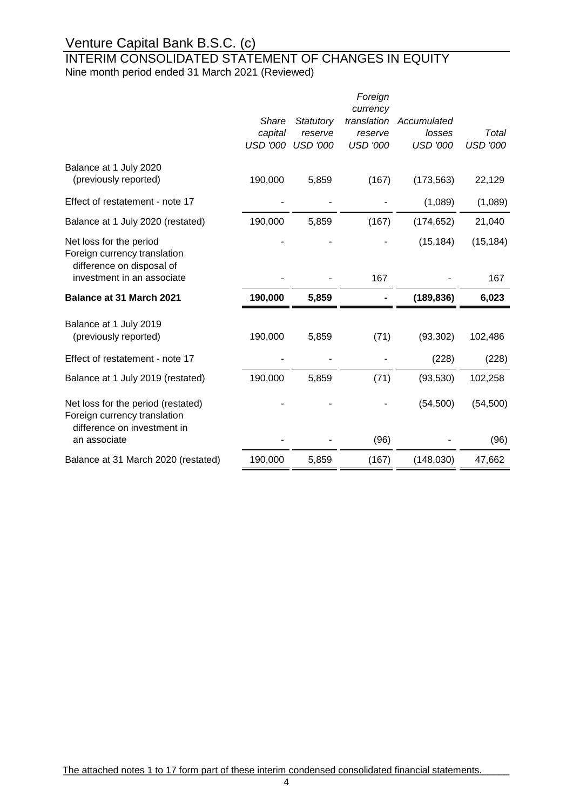### INTERIM CONSOLIDATED STATEMENT OF CHANGES IN EQUITY Nine month period ended 31 March 2021 (Reviewed)

|                                                                                                   |                 |                 | Foreign                 |                 |                 |
|---------------------------------------------------------------------------------------------------|-----------------|-----------------|-------------------------|-----------------|-----------------|
|                                                                                                   | Share           | Statutory       | currency<br>translation | Accumulated     |                 |
|                                                                                                   | capital         | reserve         | reserve                 | losses          | Total           |
|                                                                                                   | <b>USD '000</b> | <b>USD '000</b> | <b>USD '000</b>         | <b>USD '000</b> | <b>USD '000</b> |
| Balance at 1 July 2020                                                                            |                 |                 |                         |                 |                 |
| (previously reported)                                                                             | 190,000         | 5,859           | (167)                   | (173, 563)      | 22,129          |
| Effect of restatement - note 17                                                                   |                 |                 |                         | (1,089)         | (1,089)         |
| Balance at 1 July 2020 (restated)                                                                 | 190,000         | 5,859           | (167)                   | (174, 652)      | 21,040          |
| Net loss for the period<br>Foreign currency translation<br>difference on disposal of              |                 |                 |                         | (15, 184)       | (15, 184)       |
| investment in an associate                                                                        |                 |                 | 167                     |                 | 167             |
| Balance at 31 March 2021                                                                          | 190,000         | 5,859           |                         | (189, 836)      | 6,023           |
| Balance at 1 July 2019                                                                            |                 |                 |                         |                 |                 |
| (previously reported)                                                                             | 190,000         | 5,859           | (71)                    | (93, 302)       | 102,486         |
| Effect of restatement - note 17                                                                   |                 |                 |                         | (228)           | (228)           |
| Balance at 1 July 2019 (restated)                                                                 | 190,000         | 5,859           | (71)                    | (93, 530)       | 102,258         |
| Net loss for the period (restated)<br>Foreign currency translation<br>difference on investment in |                 |                 |                         | (54, 500)       | (54, 500)       |
| an associate                                                                                      |                 |                 | (96)                    |                 | (96)            |
| Balance at 31 March 2020 (restated)                                                               | 190,000         | 5,859           | (167)                   | (148, 030)      | 47,662          |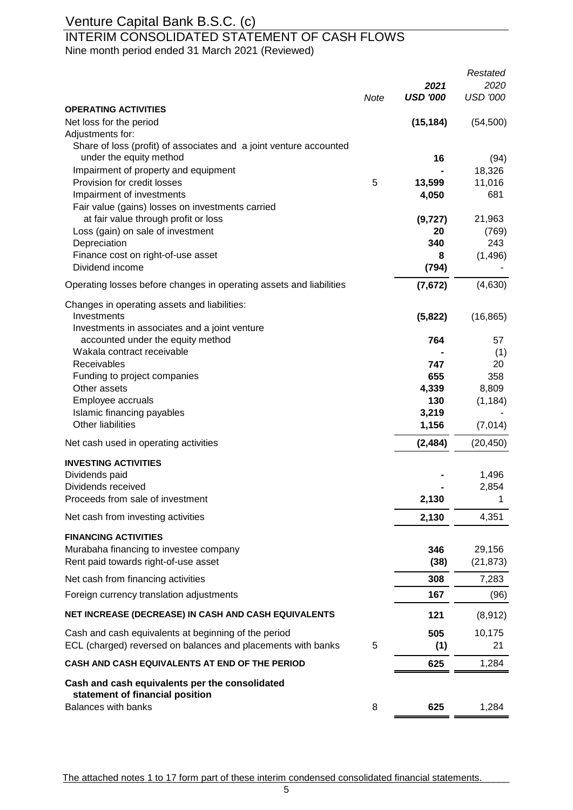### INTERIM CONSOLIDATED STATEMENT OF CASH FLOWS

Nine month period ended 31 March 2021 (Reviewed)

|                                                                                   |      |                 | Restated        |
|-----------------------------------------------------------------------------------|------|-----------------|-----------------|
|                                                                                   |      | 2021            | 2020            |
| <b>OPERATING ACTIVITIES</b>                                                       | Note | <b>USD '000</b> | <b>USD '000</b> |
| Net loss for the period                                                           |      |                 |                 |
| Adjustments for:                                                                  |      | (15, 184)       | (54, 500)       |
| Share of loss (profit) of associates and a joint venture accounted                |      |                 |                 |
| under the equity method                                                           |      | 16              | (94)            |
| Impairment of property and equipment                                              |      |                 | 18,326          |
| Provision for credit losses                                                       | 5    | 13,599          | 11,016          |
| Impairment of investments                                                         |      | 4,050           | 681             |
| Fair value (gains) losses on investments carried                                  |      |                 |                 |
| at fair value through profit or loss                                              |      | (9, 727)        | 21,963          |
| Loss (gain) on sale of investment                                                 |      | 20              | (769)           |
| Depreciation                                                                      |      | 340             | 243             |
| Finance cost on right-of-use asset                                                |      | 8               | (1, 496)        |
| Dividend income                                                                   |      | (794)           |                 |
| Operating losses before changes in operating assets and liabilities               |      | (7,672)         | (4,630)         |
| Changes in operating assets and liabilities:                                      |      |                 |                 |
| Investments                                                                       |      | (5,822)         | (16, 865)       |
| Investments in associates and a joint venture                                     |      |                 |                 |
| accounted under the equity method                                                 |      | 764             | 57              |
| Wakala contract receivable                                                        |      |                 | (1)             |
| Receivables                                                                       |      | 747             | 20              |
| Funding to project companies                                                      |      | 655             | 358             |
| Other assets                                                                      |      | 4,339           | 8,809           |
| Employee accruals                                                                 |      | 130             | (1, 184)        |
| Islamic financing payables<br>Other liabilities                                   |      | 3,219<br>1,156  | (7,014)         |
|                                                                                   |      |                 |                 |
| Net cash used in operating activities                                             |      | (2, 484)        | (20, 450)       |
| <b>INVESTING ACTIVITIES</b>                                                       |      |                 |                 |
| Dividends paid                                                                    |      |                 | 1,496           |
| Dividends received                                                                |      |                 | 2,854           |
| Proceeds from sale of investment                                                  |      | 2,130           |                 |
| Net cash from investing activities                                                |      | 2,130           | 4,351           |
| <b>FINANCING ACTIVITIES</b>                                                       |      |                 |                 |
| Murabaha financing to investee company                                            |      | 346             | 29,156          |
| Rent paid towards right-of-use asset                                              |      | (38)            | (21, 873)       |
| Net cash from financing activities                                                |      | 308             | 7,283           |
| Foreign currency translation adjustments                                          |      | 167             | (96)            |
| NET INCREASE (DECREASE) IN CASH AND CASH EQUIVALENTS                              |      | 121             | (8,912)         |
| Cash and cash equivalents at beginning of the period                              |      | 505             | 10,175          |
| ECL (charged) reversed on balances and placements with banks                      | 5    | (1)             | 21              |
| CASH AND CASH EQUIVALENTS AT END OF THE PERIOD                                    |      | 625             | 1,284           |
| Cash and cash equivalents per the consolidated<br>statement of financial position |      |                 |                 |
| <b>Balances with banks</b>                                                        | 8    | 625             | 1,284           |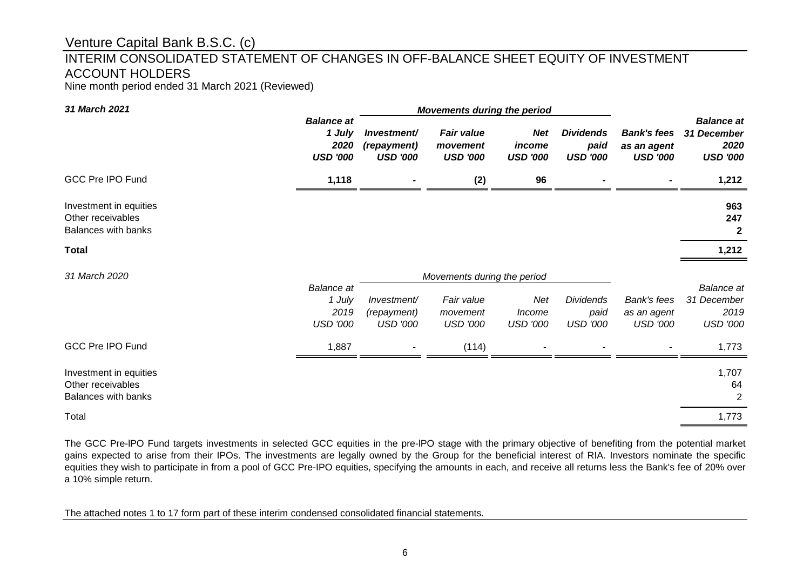### INTERIM CONSOLIDATED STATEMENT OF CHANGES IN OFF-BALANCE SHEET EQUITY OF INVESTMENT ACCOUNT HOLDERS

Nine month period ended 31 March 2021 (Reviewed)

| 31 March 2021                                                             |                                                        |                                               | <b>Movements during the period</b>               |                                         |                                             |                                                      |                                                             |
|---------------------------------------------------------------------------|--------------------------------------------------------|-----------------------------------------------|--------------------------------------------------|-----------------------------------------|---------------------------------------------|------------------------------------------------------|-------------------------------------------------------------|
|                                                                           | <b>Balance at</b><br>1 July<br>2020<br><b>USD '000</b> | Investment/<br>(repayment)<br><b>USD '000</b> | <b>Fair value</b><br>movement<br><b>USD '000</b> | <b>Net</b><br>income<br><b>USD '000</b> | <b>Dividends</b><br>paid<br><b>USD '000</b> | <b>Bank's fees</b><br>as an agent<br><b>USD '000</b> | <b>Balance at</b><br>31 December<br>2020<br><b>USD '000</b> |
| <b>GCC Pre IPO Fund</b>                                                   | 1,118                                                  |                                               | (2)                                              | 96                                      |                                             |                                                      | 1,212                                                       |
| Investment in equities<br>Other receivables<br><b>Balances with banks</b> |                                                        |                                               |                                                  |                                         |                                             |                                                      | 963<br>247<br>$\mathbf{2}$                                  |
| <b>Total</b>                                                              |                                                        |                                               |                                                  |                                         |                                             |                                                      | 1,212                                                       |
| 31 March 2020                                                             |                                                        |                                               | Movements during the period                      |                                         |                                             |                                                      |                                                             |
|                                                                           | <b>Balance</b> at<br>1 July<br>2019<br><b>USD '000</b> | Investment/<br>(repayment)<br><b>USD '000</b> | Fair value<br>movement<br><b>USD '000</b>        | Net<br>Income<br><b>USD '000</b>        | <b>Dividends</b><br>paid<br><b>USD '000</b> | Bank's fees<br>as an agent<br><b>USD '000</b>        | <b>Balance</b> at<br>31 December<br>2019<br><b>USD '000</b> |
| <b>GCC Pre IPO Fund</b>                                                   | 1,887                                                  |                                               | (114)                                            |                                         |                                             |                                                      | 1,773                                                       |
| Investment in equities<br>Other receivables<br>Balances with banks        |                                                        |                                               |                                                  |                                         |                                             |                                                      | 1,707<br>64<br>2                                            |
| Total                                                                     |                                                        |                                               |                                                  |                                         |                                             |                                                      | 1,773                                                       |

The GCC Pre-lPO Fund targets investments in selected GCC equities in the pre-lPO stage with the primary objective of benefiting from the potential market gains expected to arise from their IPOs. The investments are legally owned by the Group for the beneficial interest of RIA. Investors nominate the specific equities they wish to participate in from a pool of GCC Pre-IPO equities, specifying the amounts in each, and receive all returns less the Bank's fee of 20% over a 10% simple return.

The attached notes 1 to 17 form part of these interim condensed consolidated financial statements.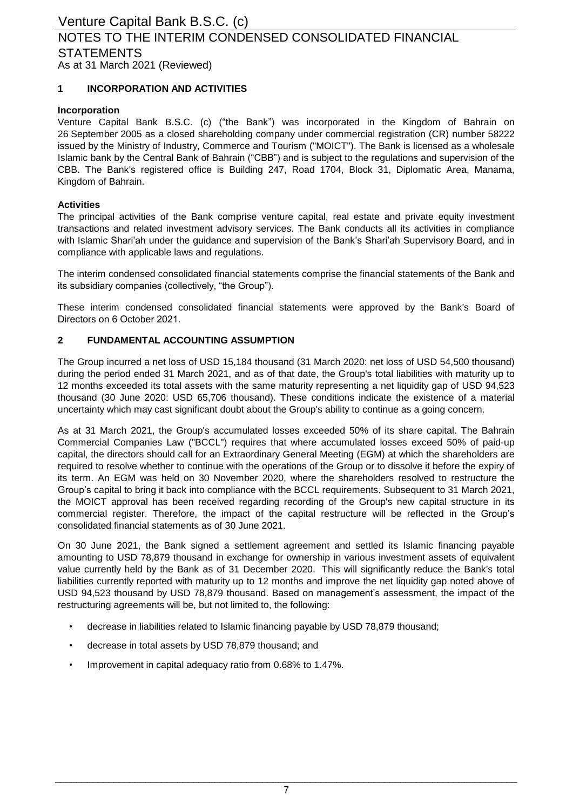### Venture Capital Bank B.S.C. (c) As at 31 March 2021 (Reviewed) NOTES TO THE INTERIM CONDENSED CONSOLIDATED FINANCIAL **STATEMENTS**

### **1 INCORPORATION AND ACTIVITIES**

### **Incorporation**

Venture Capital Bank B.S.C. (c) ("the Bank") was incorporated in the Kingdom of Bahrain on 26 September 2005 as a closed shareholding company under commercial registration (CR) number 58222 issued by the Ministry of Industry, Commerce and Tourism ("MOICT"). The Bank is licensed as a wholesale Islamic bank by the Central Bank of Bahrain ("CBB") and is subject to the regulations and supervision of the CBB. The Bank's registered office is Building 247, Road 1704, Block 31, Diplomatic Area, Manama, Kingdom of Bahrain.

### **Activities**

The principal activities of the Bank comprise venture capital, real estate and private equity investment transactions and related investment advisory services. The Bank conducts all its activities in compliance with Islamic Shari'ah under the guidance and supervision of the Bank's Shari'ah Supervisory Board, and in compliance with applicable laws and regulations.

The interim condensed consolidated financial statements comprise the financial statements of the Bank and its subsidiary companies (collectively, "the Group").

These interim condensed consolidated financial statements were approved by the Bank's Board of Directors on 6 October 2021.

#### **2 FUNDAMENTAL ACCOUNTING ASSUMPTION**

The Group incurred a net loss of USD 15,184 thousand (31 March 2020: net loss of USD 54,500 thousand) during the period ended 31 March 2021, and as of that date, the Group's total liabilities with maturity up to 12 months exceeded its total assets with the same maturity representing a net liquidity gap of USD 94,523 thousand (30 June 2020: USD 65,706 thousand). These conditions indicate the existence of a material uncertainty which may cast significant doubt about the Group's ability to continue as a going concern.

As at 31 March 2021, the Group's accumulated losses exceeded 50% of its share capital. The Bahrain Commercial Companies Law ("BCCL") requires that where accumulated losses exceed 50% of paid-up capital, the directors should call for an Extraordinary General Meeting (EGM) at which the shareholders are required to resolve whether to continue with the operations of the Group or to dissolve it before the expiry of its term. An EGM was held on 30 November 2020, where the shareholders resolved to restructure the Group's capital to bring it back into compliance with the BCCL requirements. Subsequent to 31 March 2021, the MOICT approval has been received regarding recording of the Group's new capital structure in its commercial register. Therefore, the impact of the capital restructure will be reflected in the Group's consolidated financial statements as of 30 June 2021.

On 30 June 2021, the Bank signed a settlement agreement and settled its Islamic financing payable amounting to USD 78,879 thousand in exchange for ownership in various investment assets of equivalent value currently held by the Bank as of 31 December 2020. This will significantly reduce the Bank's total liabilities currently reported with maturity up to 12 months and improve the net liquidity gap noted above of USD 94,523 thousand by USD 78,879 thousand. Based on management's assessment, the impact of the restructuring agreements will be, but not limited to, the following:

- decrease in liabilities related to Islamic financing payable by USD 78,879 thousand;
- decrease in total assets by USD 78,879 thousand; and
- Improvement in capital adequacy ratio from 0.68% to 1.47%.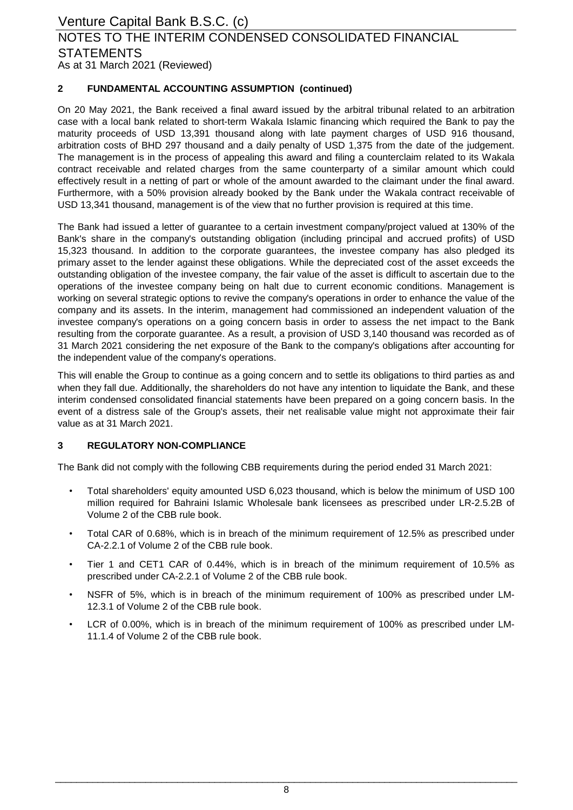### Venture Capital Bank B.S.C. (c) As at 31 March 2021 (Reviewed) NOTES TO THE INTERIM CONDENSED CONSOLIDATED FINANCIAL **STATEMENTS**

#### **2 FUNDAMENTAL ACCOUNTING ASSUMPTION (continued)**

On 20 May 2021, the Bank received a final award issued by the arbitral tribunal related to an arbitration case with a local bank related to short-term Wakala Islamic financing which required the Bank to pay the maturity proceeds of USD 13,391 thousand along with late payment charges of USD 916 thousand, arbitration costs of BHD 297 thousand and a daily penalty of USD 1,375 from the date of the judgement. The management is in the process of appealing this award and filing a counterclaim related to its Wakala contract receivable and related charges from the same counterparty of a similar amount which could effectively result in a netting of part or whole of the amount awarded to the claimant under the final award. Furthermore, with a 50% provision already booked by the Bank under the Wakala contract receivable of USD 13,341 thousand, management is of the view that no further provision is required at this time.

The Bank had issued a letter of guarantee to a certain investment company/project valued at 130% of the Bank's share in the company's outstanding obligation (including principal and accrued profits) of USD 15,323 thousand. In addition to the corporate guarantees, the investee company has also pledged its primary asset to the lender against these obligations. While the depreciated cost of the asset exceeds the outstanding obligation of the investee company, the fair value of the asset is difficult to ascertain due to the operations of the investee company being on halt due to current economic conditions. Management is working on several strategic options to revive the company's operations in order to enhance the value of the company and its assets. In the interim, management had commissioned an independent valuation of the investee company's operations on a going concern basis in order to assess the net impact to the Bank resulting from the corporate guarantee. As a result, a provision of USD 3,140 thousand was recorded as of 31 March 2021 considering the net exposure of the Bank to the company's obligations after accounting for the independent value of the company's operations.

This will enable the Group to continue as a going concern and to settle its obligations to third parties as and when they fall due. Additionally, the shareholders do not have any intention to liquidate the Bank, and these interim condensed consolidated financial statements have been prepared on a going concern basis. In the event of a distress sale of the Group's assets, their net realisable value might not approximate their fair value as at 31 March 2021.

#### **3 REGULATORY NON-COMPLIANCE**

The Bank did not comply with the following CBB requirements during the period ended 31 March 2021:

- Total shareholders' equity amounted USD 6,023 thousand, which is below the minimum of USD 100 million required for Bahraini Islamic Wholesale bank licensees as prescribed under LR-2.5.2B of Volume 2 of the CBB rule book.
- Total CAR of 0.68%, which is in breach of the minimum requirement of 12.5% as prescribed under CA-2.2.1 of Volume 2 of the CBB rule book.
- Tier 1 and CET1 CAR of 0.44%, which is in breach of the minimum requirement of 10.5% as prescribed under CA-2.2.1 of Volume 2 of the CBB rule book.
- NSFR of 5%, which is in breach of the minimum requirement of 100% as prescribed under LM-12.3.1 of Volume 2 of the CBB rule book.
- LCR of 0.00%, which is in breach of the minimum requirement of 100% as prescribed under LM-11.1.4 of Volume 2 of the CBB rule book.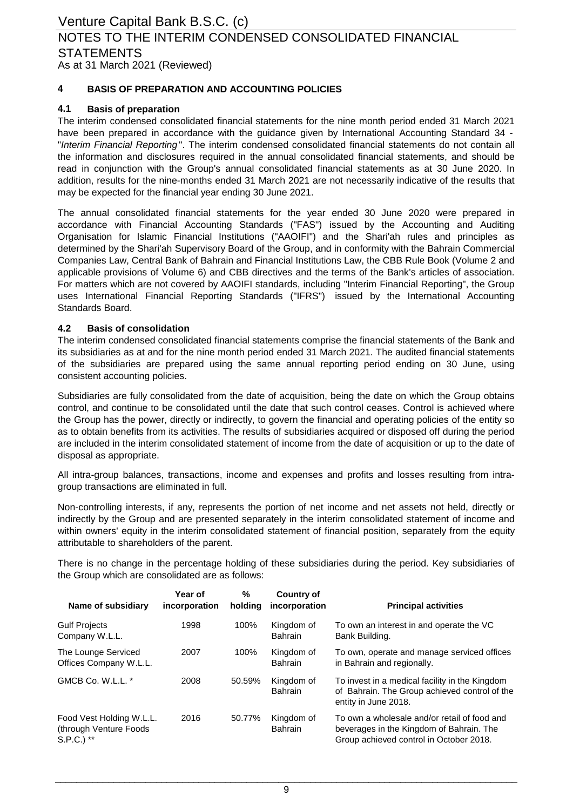As at 31 March 2021 (Reviewed)

### **4 BASIS OF PREPARATION AND ACCOUNTING POLICIES**

### **4.1 Basis of preparation**

The interim condensed consolidated financial statements for the nine month period ended 31 March 2021 have been prepared in accordance with the guidance given by International Accounting Standard 34 - "*Interim Financial Reporting* ". The interim condensed consolidated financial statements do not contain all the information and disclosures required in the annual consolidated financial statements, and should be read in conjunction with the Group's annual consolidated financial statements as at 30 June 2020. In addition, results for the nine-months ended 31 March 2021 are not necessarily indicative of the results that may be expected for the financial year ending 30 June 2021.

The annual consolidated financial statements for the year ended 30 June 2020 were prepared in accordance with Financial Accounting Standards ("FAS") issued by the Accounting and Auditing Organisation for Islamic Financial Institutions ("AAOIFI") and the Shari'ah rules and principles as determined by the Shari'ah Supervisory Board of the Group, and in conformity with the Bahrain Commercial Companies Law, Central Bank of Bahrain and Financial Institutions Law, the CBB Rule Book (Volume 2 and applicable provisions of Volume 6) and CBB directives and the terms of the Bank's articles of association. For matters which are not covered by AAOIFI standards, including "Interim Financial Reporting", the Group uses International Financial Reporting Standards ("IFRS") issued by the International Accounting Standards Board.

#### **4.2 Basis of consolidation**

The interim condensed consolidated financial statements comprise the financial statements of the Bank and its subsidiaries as at and for the nine month period ended 31 March 2021. The audited financial statements of the subsidiaries are prepared using the same annual reporting period ending on 30 June, using consistent accounting policies.

Subsidiaries are fully consolidated from the date of acquisition, being the date on which the Group obtains control, and continue to be consolidated until the date that such control ceases. Control is achieved where the Group has the power, directly or indirectly, to govern the financial and operating policies of the entity so as to obtain benefits from its activities. The results of subsidiaries acquired or disposed off during the period are included in the interim consolidated statement of income from the date of acquisition or up to the date of disposal as appropriate.

All intra-group balances, transactions, income and expenses and profits and losses resulting from intragroup transactions are eliminated in full.

Non-controlling interests, if any, represents the portion of net income and net assets not held, directly or indirectly by the Group and are presented separately in the interim consolidated statement of income and within owners' equity in the interim consolidated statement of financial position, separately from the equity attributable to shareholders of the parent.

There is no change in the percentage holding of these subsidiaries during the period. Key subsidiaries of the Group which are consolidated are as follows:

| Name of subsidiary                                                   | Year of<br>incorporation | %<br>holding | <b>Country of</b><br>incorporation | <b>Principal activities</b>                                                                                                         |
|----------------------------------------------------------------------|--------------------------|--------------|------------------------------------|-------------------------------------------------------------------------------------------------------------------------------------|
| <b>Gulf Projects</b><br>Company W.L.L.                               | 1998                     | 100%         | Kingdom of<br><b>Bahrain</b>       | To own an interest in and operate the VC<br>Bank Building.                                                                          |
| The Lounge Serviced<br>Offices Company W.L.L.                        | 2007                     | 100%         | Kingdom of<br><b>Bahrain</b>       | To own, operate and manage serviced offices<br>in Bahrain and regionally.                                                           |
| GMCB Co. W.L.L. *                                                    | 2008                     | 50.59%       | Kingdom of<br>Bahrain              | To invest in a medical facility in the Kingdom<br>of Bahrain. The Group achieved control of the<br>entity in June 2018.             |
| Food Vest Holding W.L.L.<br>(through Venture Foods)<br>$S.P.C.$ ) ** | 2016                     | 50.77%       | Kingdom of<br>Bahrain              | To own a wholesale and/or retail of food and<br>beverages in the Kingdom of Bahrain. The<br>Group achieved control in October 2018. |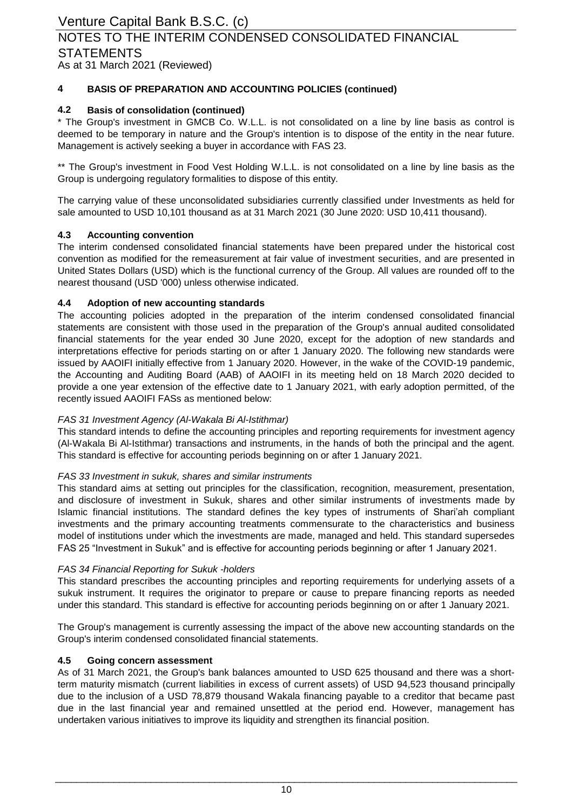**4 BASIS OF PREPARATION AND ACCOUNTING POLICIES (continued)**

### **4.2 Basis of consolidation (continued)**

\* The Group's investment in GMCB Co. W.L.L. is not consolidated on a line by line basis as control is deemed to be temporary in nature and the Group's intention is to dispose of the entity in the near future. Management is actively seeking a buyer in accordance with FAS 23.

\*\* The Group's investment in Food Vest Holding W.L.L. is not consolidated on a line by line basis as the Group is undergoing regulatory formalities to dispose of this entity.

The carrying value of these unconsolidated subsidiaries currently classified under Investments as held for sale amounted to USD 10,101 thousand as at 31 March 2021 (30 June 2020: USD 10,411 thousand).

### **4.3 Accounting convention**

The interim condensed consolidated financial statements have been prepared under the historical cost convention as modified for the remeasurement at fair value of investment securities, and are presented in United States Dollars (USD) which is the functional currency of the Group. All values are rounded off to the nearest thousand (USD '000) unless otherwise indicated.

### **4.4 Adoption of new accounting standards**

The accounting policies adopted in the preparation of the interim condensed consolidated financial statements are consistent with those used in the preparation of the Group's annual audited consolidated financial statements for the year ended 30 June 2020, except for the adoption of new standards and interpretations effective for periods starting on or after 1 January 2020. The following new standards were issued by AAOIFI initially effective from 1 January 2020. However, in the wake of the COVID-19 pandemic, the Accounting and Auditing Board (AAB) of AAOIFI in its meeting held on 18 March 2020 decided to provide a one year extension of the effective date to 1 January 2021, with early adoption permitted, of the recently issued AAOIFI FASs as mentioned below:

### *FAS 31 Investment Agency (Al-Wakala Bi Al-Istithmar)*

This standard intends to define the accounting principles and reporting requirements for investment agency (Al-Wakala Bi Al-Istithmar) transactions and instruments, in the hands of both the principal and the agent. This standard is effective for accounting periods beginning on or after 1 January 2021.

### *FAS 33 Investment in sukuk, shares and similar instruments*

This standard aims at setting out principles for the classification, recognition, measurement, presentation, and disclosure of investment in Sukuk, shares and other similar instruments of investments made by Islamic financial institutions. The standard defines the key types of instruments of Shari'ah compliant investments and the primary accounting treatments commensurate to the characteristics and business model of institutions under which the investments are made, managed and held. This standard supersedes FAS 25 "Investment in Sukuk" and is effective for accounting periods beginning or after 1 January 2021.

### *FAS 34 Financial Reporting for Sukuk -holders*

This standard prescribes the accounting principles and reporting requirements for underlying assets of a sukuk instrument. It requires the originator to prepare or cause to prepare financing reports as needed under this standard. This standard is effective for accounting periods beginning on or after 1 January 2021.

The Group's management is currently assessing the impact of the above new accounting standards on the Group's interim condensed consolidated financial statements.

### **4.5 Going concern assessment**

As of 31 March 2021, the Group's bank balances amounted to USD 625 thousand and there was a shortterm maturity mismatch (current liabilities in excess of current assets) of USD 94,523 thousand principally due to the inclusion of a USD 78,879 thousand Wakala financing payable to a creditor that became past due in the last financial year and remained unsettled at the period end. However, management has undertaken various initiatives to improve its liquidity and strengthen its financial position.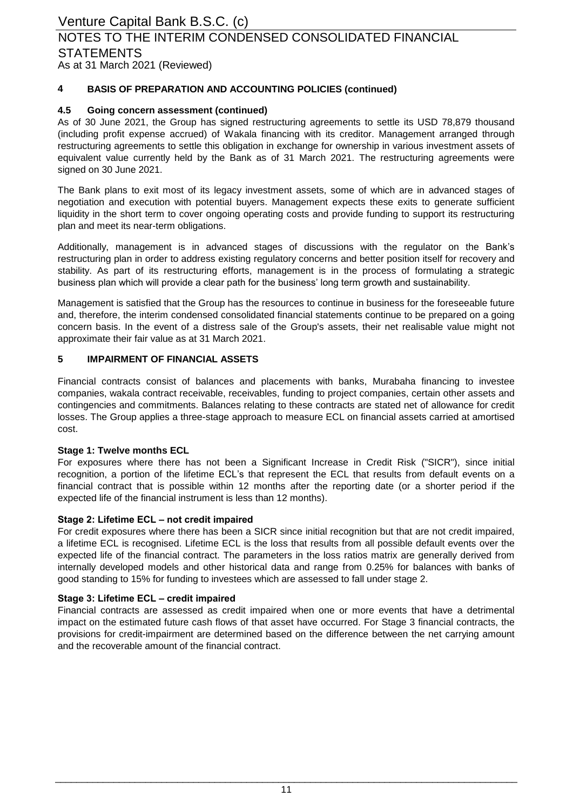#### **4 BASIS OF PREPARATION AND ACCOUNTING POLICIES (continued)**

### **4.5 Going concern assessment (continued)**

As of 30 June 2021, the Group has signed restructuring agreements to settle its USD 78,879 thousand (including profit expense accrued) of Wakala financing with its creditor. Management arranged through restructuring agreements to settle this obligation in exchange for ownership in various investment assets of equivalent value currently held by the Bank as of 31 March 2021. The restructuring agreements were signed on 30 June 2021.

The Bank plans to exit most of its legacy investment assets, some of which are in advanced stages of negotiation and execution with potential buyers. Management expects these exits to generate sufficient liquidity in the short term to cover ongoing operating costs and provide funding to support its restructuring plan and meet its near-term obligations.

Additionally, management is in advanced stages of discussions with the regulator on the Bank's restructuring plan in order to address existing regulatory concerns and better position itself for recovery and stability. As part of its restructuring efforts, management is in the process of formulating a strategic business plan which will provide a clear path for the business' long term growth and sustainability.

Management is satisfied that the Group has the resources to continue in business for the foreseeable future and, therefore, the interim condensed consolidated financial statements continue to be prepared on a going concern basis. In the event of a distress sale of the Group's assets, their net realisable value might not approximate their fair value as at 31 March 2021.

#### **5 IMPAIRMENT OF FINANCIAL ASSETS**

Financial contracts consist of balances and placements with banks, Murabaha financing to investee companies, wakala contract receivable, receivables, funding to project companies, certain other assets and contingencies and commitments. Balances relating to these contracts are stated net of allowance for credit losses. The Group applies a three-stage approach to measure ECL on financial assets carried at amortised cost.

### **Stage 1: Twelve months ECL**

For exposures where there has not been a Significant Increase in Credit Risk ("SICR"), since initial recognition, a portion of the lifetime ECL's that represent the ECL that results from default events on a financial contract that is possible within 12 months after the reporting date (or a shorter period if the expected life of the financial instrument is less than 12 months).

### **Stage 2: Lifetime ECL – not credit impaired**

For credit exposures where there has been a SICR since initial recognition but that are not credit impaired, a lifetime ECL is recognised. Lifetime ECL is the loss that results from all possible default events over the expected life of the financial contract. The parameters in the loss ratios matrix are generally derived from internally developed models and other historical data and range from 0.25% for balances with banks of good standing to 15% for funding to investees which are assessed to fall under stage 2.

### **Stage 3: Lifetime ECL – credit impaired**

Financial contracts are assessed as credit impaired when one or more events that have a detrimental impact on the estimated future cash flows of that asset have occurred. For Stage 3 financial contracts, the provisions for credit-impairment are determined based on the difference between the net carrying amount and the recoverable amount of the financial contract.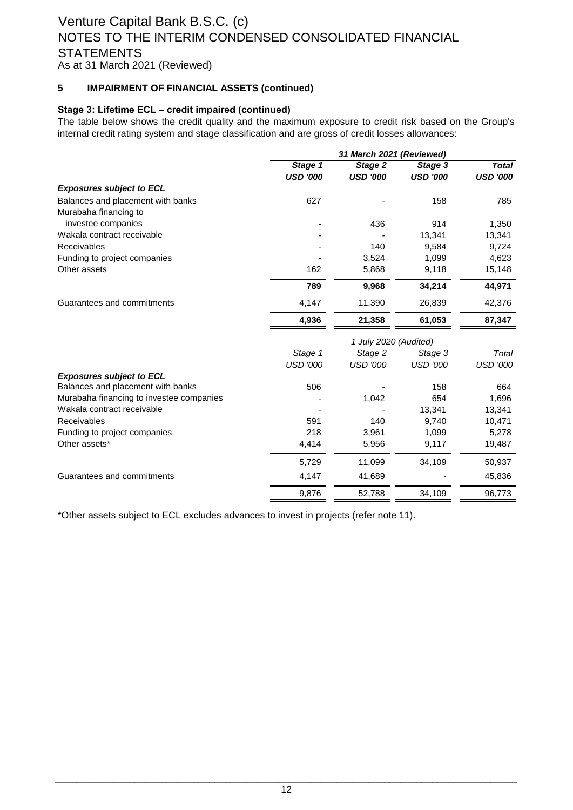### As at 31 March 2021 (Reviewed) NOTES TO THE INTERIM CONDENSED CONSOLIDATED FINANCIAL **STATEMENTS**

#### **5 IMPAIRMENT OF FINANCIAL ASSETS (continued)**

### **Stage 3: Lifetime ECL – credit impaired (continued)**

The table below shows the credit quality and the maximum exposure to credit risk based on the Group's internal credit rating system and stage classification and are gross of credit losses allowances:

|                                          | 31 March 2021 (Reviewed) |                       |                 |                 |  |  |
|------------------------------------------|--------------------------|-----------------------|-----------------|-----------------|--|--|
|                                          | Stage 1                  | Stage 2               | Stage 3         | <b>Total</b>    |  |  |
|                                          | <b>USD '000</b>          | <b>USD '000</b>       | <b>USD '000</b> | <b>USD '000</b> |  |  |
| <b>Exposures subject to ECL</b>          |                          |                       |                 |                 |  |  |
| Balances and placement with banks        | 627                      |                       | 158             | 785             |  |  |
| Murabaha financing to                    |                          |                       |                 |                 |  |  |
| investee companies                       |                          | 436                   | 914             | 1,350           |  |  |
| Wakala contract receivable               |                          |                       | 13,341          | 13,341          |  |  |
| <b>Receivables</b>                       |                          | 140                   | 9,584           | 9,724           |  |  |
| Funding to project companies             |                          | 3,524                 | 1,099           | 4,623           |  |  |
| Other assets                             | 162                      | 5,868                 | 9,118           | 15,148          |  |  |
|                                          | 789                      | 9,968                 | 34,214          | 44,971          |  |  |
| Guarantees and commitments               | 4,147                    | 11,390                | 26,839          | 42,376          |  |  |
|                                          | 4,936                    | 21,358                | 61,053          | 87,347          |  |  |
|                                          |                          | 1 July 2020 (Audited) |                 |                 |  |  |
|                                          | Stage 1                  | Stage 2               | Stage 3         | Total           |  |  |
|                                          | <b>USD '000</b>          | <b>USD '000</b>       | <b>USD '000</b> | <b>USD '000</b> |  |  |
| <b>Exposures subject to ECL</b>          |                          |                       |                 |                 |  |  |
| Balances and placement with banks        | 506                      |                       | 158             | 664             |  |  |
| Murabaha financing to investee companies |                          | 1,042                 | 654             | 1,696           |  |  |
| Wakala contract receivable               |                          |                       | 13,341          | 13,341          |  |  |
| <b>Receivables</b>                       | 591                      | 140                   | 9,740           | 10,471          |  |  |
| Funding to project companies             | 218                      | 3,961                 | 1,099           | 5,278           |  |  |
| Other assets*                            | 4,414                    | 5,956                 | 9,117           | 19,487          |  |  |
|                                          | 5,729                    | 11,099                | 34,109          | 50,937          |  |  |
| Guarantees and commitments               | 4,147                    | 41,689                |                 | 45,836          |  |  |
|                                          | 9,876                    | 52.788                | 34,109          | 96,773          |  |  |

\*Other assets subject to ECL excludes advances to invest in projects (refer note 11).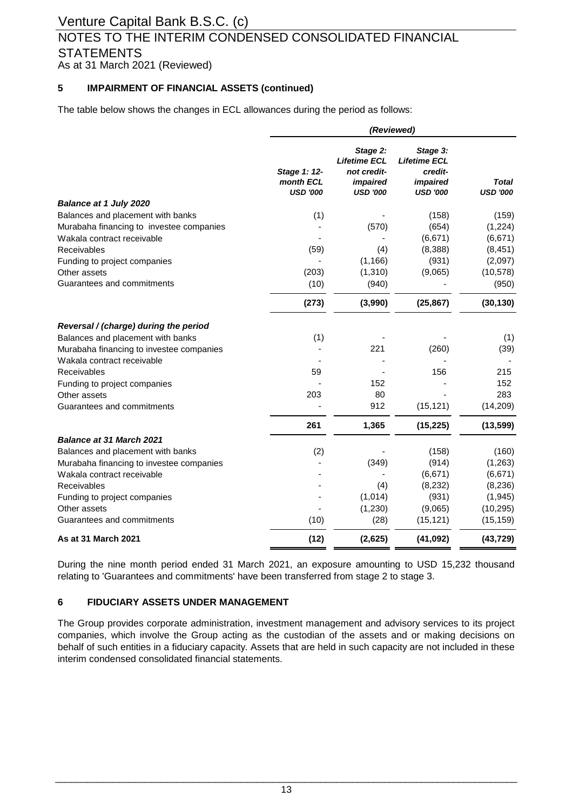## NOTES TO THE INTERIM CONDENSED CONSOLIDATED FINANCIAL **STATEMENTS**

As at 31 March 2021 (Reviewed)

#### **5 IMPAIRMENT OF FINANCIAL ASSETS (continued)**

The table below shows the changes in ECL allowances during the period as follows:

|                                          | (Reviewed)                                   |                                                                               |                                                                                  |                          |  |  |
|------------------------------------------|----------------------------------------------|-------------------------------------------------------------------------------|----------------------------------------------------------------------------------|--------------------------|--|--|
|                                          | Stage 1: 12-<br>month ECL<br><b>USD '000</b> | Stage 2:<br><b>Lifetime ECL</b><br>not credit-<br>impaired<br><b>USD '000</b> | Stage 3:<br><b>Lifetime ECL</b><br>credit-<br><i>impaired</i><br><b>USD '000</b> | Total<br><b>USD '000</b> |  |  |
| <b>Balance at 1 July 2020</b>            |                                              |                                                                               |                                                                                  |                          |  |  |
| Balances and placement with banks        | (1)                                          |                                                                               | (158)                                                                            | (159)                    |  |  |
| Murabaha financing to investee companies |                                              | (570)                                                                         | (654)                                                                            | (1,224)                  |  |  |
| Wakala contract receivable               |                                              |                                                                               | (6,671)                                                                          | (6, 671)                 |  |  |
| Receivables                              | (59)                                         | (4)                                                                           | (8,388)                                                                          | (8, 451)                 |  |  |
| Funding to project companies             |                                              | (1, 166)                                                                      | (931)                                                                            | (2,097)                  |  |  |
| Other assets                             | (203)                                        | (1,310)                                                                       | (9,065)                                                                          | (10, 578)                |  |  |
| Guarantees and commitments               | (10)                                         | (940)                                                                         |                                                                                  | (950)                    |  |  |
|                                          | (273)                                        | (3,990)                                                                       | (25, 867)                                                                        | (30, 130)                |  |  |
| Reversal / (charge) during the period    |                                              |                                                                               |                                                                                  |                          |  |  |
| Balances and placement with banks        | (1)                                          |                                                                               |                                                                                  | (1)                      |  |  |
| Murabaha financing to investee companies |                                              | 221                                                                           | (260)                                                                            | (39)                     |  |  |
| Wakala contract receivable               |                                              |                                                                               |                                                                                  |                          |  |  |
| Receivables                              | 59                                           |                                                                               | 156                                                                              | 215                      |  |  |
| Funding to project companies             |                                              | 152                                                                           |                                                                                  | 152                      |  |  |
| Other assets                             | 203                                          | 80                                                                            |                                                                                  | 283                      |  |  |
| Guarantees and commitments               |                                              | 912                                                                           | (15, 121)                                                                        | (14, 209)                |  |  |
|                                          | 261                                          | 1,365                                                                         | (15, 225)                                                                        | (13, 599)                |  |  |
| <b>Balance at 31 March 2021</b>          |                                              |                                                                               |                                                                                  |                          |  |  |
| Balances and placement with banks        | (2)                                          |                                                                               | (158)                                                                            | (160)                    |  |  |
| Murabaha financing to investee companies |                                              | (349)                                                                         | (914)                                                                            | (1,263)                  |  |  |
| Wakala contract receivable               |                                              |                                                                               | (6,671)                                                                          | (6,671)                  |  |  |
| Receivables                              |                                              | (4)                                                                           | (8, 232)                                                                         | (8, 236)                 |  |  |
| Funding to project companies             |                                              | (1,014)                                                                       | (931)                                                                            | (1, 945)                 |  |  |
| Other assets                             |                                              | (1,230)                                                                       | (9,065)                                                                          | (10, 295)                |  |  |
| Guarantees and commitments               | (10)                                         | (28)                                                                          | (15, 121)                                                                        | (15, 159)                |  |  |
| As at 31 March 2021                      | (12)                                         | (2,625)                                                                       | (41, 092)                                                                        | (43, 729)                |  |  |

During the nine month period ended 31 March 2021, an exposure amounting to USD 15,232 thousand relating to 'Guarantees and commitments' have been transferred from stage 2 to stage 3.

### **6 FIDUCIARY ASSETS UNDER MANAGEMENT**

The Group provides corporate administration, investment management and advisory services to its project companies, which involve the Group acting as the custodian of the assets and or making decisions on behalf of such entities in a fiduciary capacity. Assets that are held in such capacity are not included in these interim condensed consolidated financial statements.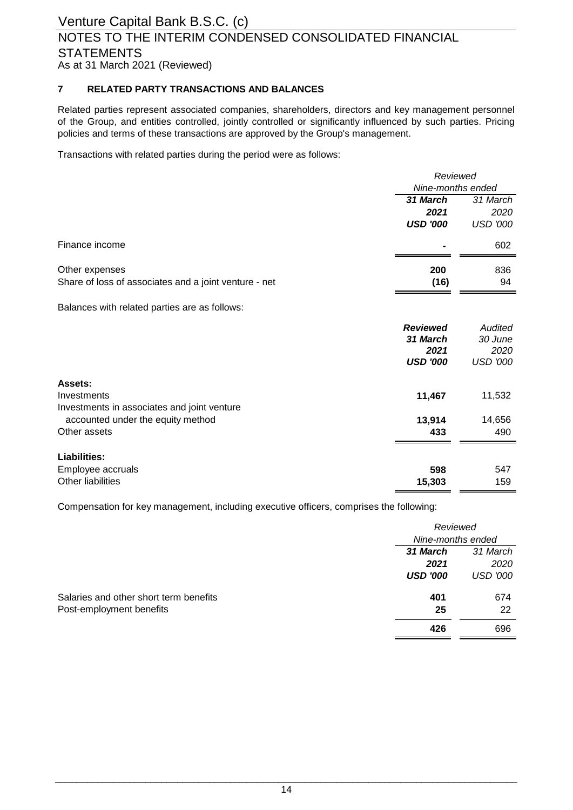### Venture Capital Bank B.S.C. (c) NOTES TO THE INTERIM CONDENSED CONSOLIDATED FINANCIAL **STATEMENTS**

As at 31 March 2021 (Reviewed)

### **7 RELATED PARTY TRANSACTIONS AND BALANCES**

Related parties represent associated companies, shareholders, directors and key management personnel of the Group, and entities controlled, jointly controlled or significantly influenced by such parties. Pricing policies and terms of these transactions are approved by the Group's management.

Transactions with related parties during the period were as follows:

|                                                       | Reviewed          |                 |  |
|-------------------------------------------------------|-------------------|-----------------|--|
|                                                       | Nine-months ended |                 |  |
|                                                       | 31 March          | 31 March        |  |
|                                                       | 2021              | 2020            |  |
|                                                       | <b>USD '000</b>   | <b>USD '000</b> |  |
| Finance income                                        |                   | 602             |  |
| Other expenses                                        | 200               | 836             |  |
| Share of loss of associates and a joint venture - net | (16)              | 94              |  |
| Balances with related parties are as follows:         |                   |                 |  |
|                                                       | <b>Reviewed</b>   | Audited         |  |
|                                                       | 31 March          | 30 June         |  |
|                                                       | 2021              | 2020            |  |
|                                                       | <b>USD '000</b>   | <b>USD '000</b> |  |
| Assets:                                               |                   |                 |  |
| Investments                                           | 11,467            | 11,532          |  |
| Investments in associates and joint venture           |                   |                 |  |

| accounted under the equity method                      | 13.914        | 14.656     |
|--------------------------------------------------------|---------------|------------|
| Other assets                                           | 433           | 490        |
| Liabilities:<br>Employee accruals<br>Other liabilities | 598<br>15,303 | 547<br>159 |

Compensation for key management, including executive officers, comprises the following:

|                                        |                   | Reviewed        |  |  |
|----------------------------------------|-------------------|-----------------|--|--|
|                                        | Nine-months ended |                 |  |  |
|                                        | 31 March          | 31 March        |  |  |
|                                        | 2021              | 2020            |  |  |
|                                        | <b>USD '000</b>   | <b>USD '000</b> |  |  |
| Salaries and other short term benefits | 401               | 674             |  |  |
| Post-employment benefits               | 25                | 22              |  |  |
|                                        | 426               | 696             |  |  |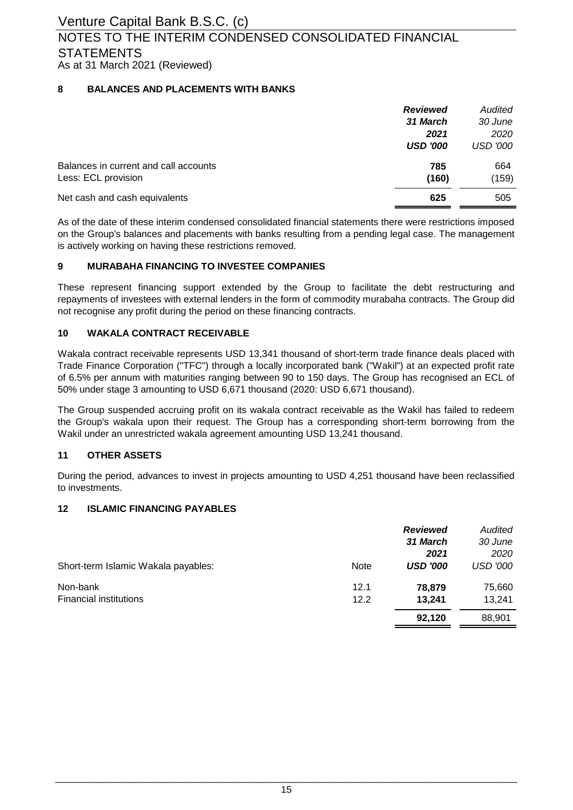### **8 BALANCES AND PLACEMENTS WITH BANKS**

|                                                              | <b>Reviewed</b> | Audited         |
|--------------------------------------------------------------|-----------------|-----------------|
|                                                              | 31 March        | 30 June         |
|                                                              | 2021            | 2020            |
|                                                              | <b>USD '000</b> | <b>USD '000</b> |
| Balances in current and call accounts<br>Less: ECL provision | 785<br>(160)    | 664<br>(159)    |
| Net cash and cash equivalents                                | 625             | 505             |

As of the date of these interim condensed consolidated financial statements there were restrictions imposed on the Group's balances and placements with banks resulting from a pending legal case. The management is actively working on having these restrictions removed.

### **9 MURABAHA FINANCING TO INVESTEE COMPANIES**

These represent financing support extended by the Group to facilitate the debt restructuring and repayments of investees with external lenders in the form of commodity murabaha contracts. The Group did not recognise any profit during the period on these financing contracts.

### **10 WAKALA CONTRACT RECEIVABLE**

Wakala contract receivable represents USD 13,341 thousand of short-term trade finance deals placed with Trade Finance Corporation ("TFC") through a locally incorporated bank ("Wakil") at an expected profit rate of 6.5% per annum with maturities ranging between 90 to 150 days. The Group has recognised an ECL of 50% under stage 3 amounting to USD 6,671 thousand (2020: USD 6,671 thousand).

The Group suspended accruing profit on its wakala contract receivable as the Wakil has failed to redeem the Group's wakala upon their request. The Group has a corresponding short-term borrowing from the Wakil under an unrestricted wakala agreement amounting USD 13,241 thousand.

### **11 OTHER ASSETS**

During the period, advances to invest in projects amounting to USD 4,251 thousand have been reclassified to investments.

### **12 ISLAMIC FINANCING PAYABLES**

|                                     |             | <b>Reviewed</b> | Audited         |
|-------------------------------------|-------------|-----------------|-----------------|
|                                     |             | 31 March        | 30 June         |
|                                     |             | 2021            | 2020            |
| Short-term Islamic Wakala payables: | <b>Note</b> | <b>USD '000</b> | <b>USD '000</b> |
| Non-bank                            | 12.1        | 78,879          | 75,660          |
| <b>Financial institutions</b>       | 12.2        | 13.241          | 13.241          |
|                                     |             | 92.120          | 88,901          |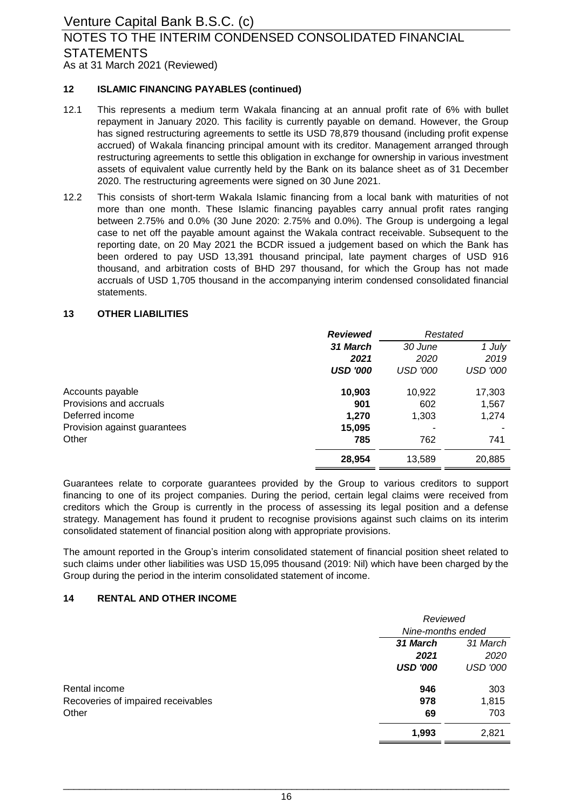### As at 31 March 2021 (Reviewed) NOTES TO THE INTERIM CONDENSED CONSOLIDATED FINANCIAL **STATEMENTS**

### **12 ISLAMIC FINANCING PAYABLES (continued)**

- 12.1 This represents a medium term Wakala financing at an annual profit rate of 6% with bullet repayment in January 2020. This facility is currently payable on demand. However, the Group has signed restructuring agreements to settle its USD 78,879 thousand (including profit expense accrued) of Wakala financing principal amount with its creditor. Management arranged through restructuring agreements to settle this obligation in exchange for ownership in various investment assets of equivalent value currently held by the Bank on its balance sheet as of 31 December 2020. The restructuring agreements were signed on 30 June 2021.
- 12.2 This consists of short-term Wakala Islamic financing from a local bank with maturities of not more than one month. These Islamic financing payables carry annual profit rates ranging between 2.75% and 0.0% (30 June 2020: 2.75% and 0.0%). The Group is undergoing a legal case to net off the payable amount against the Wakala contract receivable. Subsequent to the reporting date, on 20 May 2021 the BCDR issued a judgement based on which the Bank has been ordered to pay USD 13,391 thousand principal, late payment charges of USD 916 thousand, and arbitration costs of BHD 297 thousand, for which the Group has not made accruals of USD 1,705 thousand in the accompanying interim condensed consolidated financial statements.

#### **13 OTHER LIABILITIES**

|                              | <b>Reviewed</b> | Restated        |                 |
|------------------------------|-----------------|-----------------|-----------------|
|                              | 31 March        | 30 June         | 1 July          |
|                              | 2021            | 2020            | 2019            |
|                              | <b>USD '000</b> | <b>USD '000</b> | <b>USD '000</b> |
| Accounts payable             | 10,903          | 10,922          | 17,303          |
| Provisions and accruals      | 901             | 602             | 1,567           |
| Deferred income              | 1,270           | 1,303           | 1,274           |
| Provision against guarantees | 15,095          |                 |                 |
| Other                        | 785             | 762             | 741             |
|                              | 28,954          | 13,589          | 20,885          |

Guarantees relate to corporate guarantees provided by the Group to various creditors to support financing to one of its project companies. During the period, certain legal claims were received from creditors which the Group is currently in the process of assessing its legal position and a defense strategy. Management has found it prudent to recognise provisions against such claims on its interim consolidated statement of financial position along with appropriate provisions.

The amount reported in the Group's interim consolidated statement of financial position sheet related to such claims under other liabilities was USD 15,095 thousand (2019: Nil) which have been charged by the Group during the period in the interim consolidated statement of income.

### **14 RENTAL AND OTHER INCOME**

|                                    | Reviewed          |                 |
|------------------------------------|-------------------|-----------------|
|                                    | Nine-months ended |                 |
|                                    | 31 March          | 31 March        |
|                                    | 2021              | 2020            |
|                                    | <b>USD '000</b>   | <b>USD '000</b> |
| Rental income                      | 946               | 303             |
| Recoveries of impaired receivables | 978               | 1,815           |
| Other                              | 69                | 703             |
|                                    | 1,993             | 2,821           |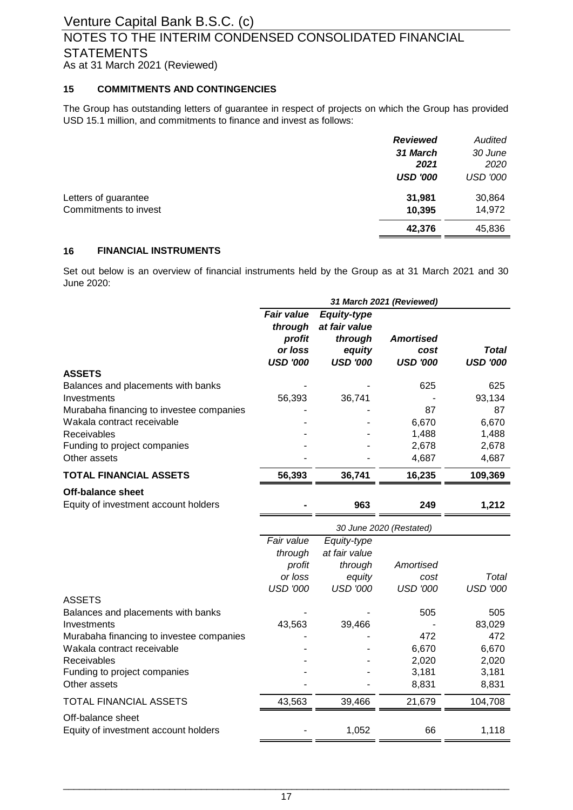### As at 31 March 2021 (Reviewed) NOTES TO THE INTERIM CONDENSED CONSOLIDATED FINANCIAL **STATEMENTS**

### **15 COMMITMENTS AND CONTINGENCIES**

The Group has outstanding letters of guarantee in respect of projects on which the Group has provided USD 15.1 million, and commitments to finance and invest as follows:

|                       | <b>Reviewed</b> | Audited         |
|-----------------------|-----------------|-----------------|
|                       | 31 March        | 30 June         |
|                       | 2021            | 2020            |
|                       | <b>USD '000</b> | <b>USD '000</b> |
| Letters of guarantee  | 31,981          | 30,864          |
| Commitments to invest | 10,395          | 14,972          |
|                       | 42,376          | 45,836          |
|                       |                 |                 |

### **16 FINANCIAL INSTRUMENTS**

Set out below is an overview of financial instruments held by the Group as at 31 March 2021 and 30 June 2020:

|                                                                  | 31 March 2021 (Reviewed)                                             |                                                                             |                                             |                          |
|------------------------------------------------------------------|----------------------------------------------------------------------|-----------------------------------------------------------------------------|---------------------------------------------|--------------------------|
| <b>ASSETS</b>                                                    | <b>Fair value</b><br>through<br>profit<br>or loss<br><b>USD '000</b> | <b>Equity-type</b><br>at fair value<br>through<br>equity<br><b>USD '000</b> | <b>Amortised</b><br>cost<br><b>USD '000</b> | Total<br><b>USD '000</b> |
| Balances and placements with banks                               |                                                                      |                                                                             | 625                                         | 625                      |
| Investments                                                      | 56,393                                                               | 36,741                                                                      |                                             | 93,134                   |
| Murabaha financing to investee companies                         |                                                                      |                                                                             | 87                                          | 87                       |
| Wakala contract receivable                                       |                                                                      |                                                                             | 6,670                                       | 6,670                    |
| Receivables                                                      |                                                                      |                                                                             | 1,488                                       | 1,488                    |
| Funding to project companies                                     |                                                                      |                                                                             | 2,678                                       | 2,678                    |
| Other assets                                                     |                                                                      |                                                                             | 4,687                                       | 4,687                    |
| <b>TOTAL FINANCIAL ASSETS</b>                                    | 56,393                                                               | 36,741                                                                      | 16,235                                      | 109,369                  |
| <b>Off-balance sheet</b><br>Equity of investment account holders |                                                                      | 963                                                                         | 249                                         | 1,212                    |
|                                                                  |                                                                      |                                                                             | 30 June 2020 (Restated)                     |                          |
|                                                                  | Fair value                                                           | Equity-type                                                                 |                                             |                          |
|                                                                  | through                                                              | at fair value                                                               |                                             |                          |
|                                                                  | profit                                                               | through                                                                     | Amortised                                   |                          |
|                                                                  | or loss                                                              | equity                                                                      | cost                                        | Total                    |
|                                                                  | <b>USD '000</b>                                                      | <b>USD '000</b>                                                             | <b>USD '000</b>                             | <b>USD '000</b>          |
| <b>ASSETS</b><br>Balances and placements with banks              |                                                                      |                                                                             | 505                                         | 505                      |
| Investments                                                      | 43,563                                                               | 39,466                                                                      |                                             | 83,029                   |
| Murabaha financing to investee companies                         |                                                                      |                                                                             | 472                                         | 472                      |
| Wakala contract receivable                                       |                                                                      |                                                                             | 6,670                                       | 6,670                    |
| Receivables                                                      |                                                                      |                                                                             | 2,020                                       | 2,020                    |
| Funding to project companies<br>Other assets                     |                                                                      |                                                                             | 3,181<br>8,831                              | 3,181<br>8,831           |
| TOTAL FINANCIAL ASSETS                                           | 43,563                                                               | 39,466                                                                      | 21,679                                      | 104,708                  |
| Off-balance sheet<br>Equity of investment account holders        |                                                                      | 1,052                                                                       | 66                                          | 1,118                    |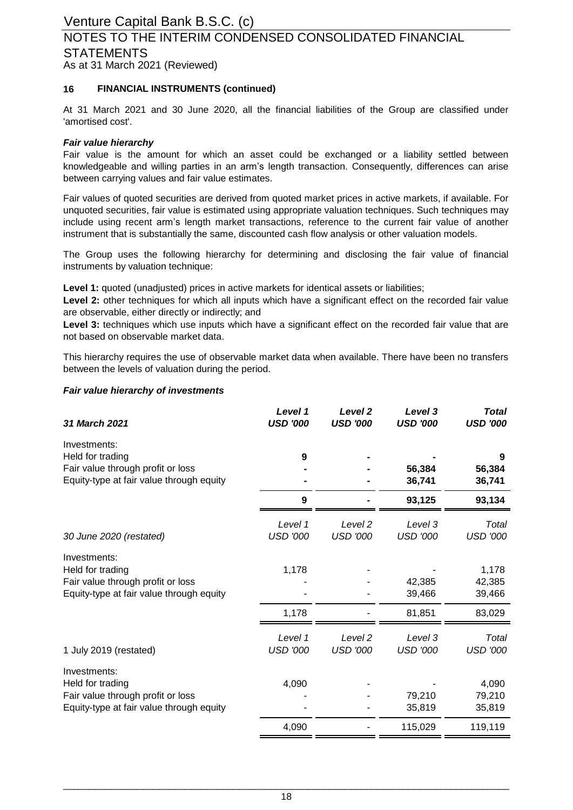### As at 31 March 2021 (Reviewed) NOTES TO THE INTERIM CONDENSED CONSOLIDATED FINANCIAL **STATEMENTS**

### **16 FINANCIAL INSTRUMENTS (continued)**

At 31 March 2021 and 30 June 2020, all the financial liabilities of the Group are classified under 'amortised cost'.

#### *Fair value hierarchy*

Fair value is the amount for which an asset could be exchanged or a liability settled between knowledgeable and willing parties in an arm's length transaction. Consequently, differences can arise between carrying values and fair value estimates.

Fair values of quoted securities are derived from quoted market prices in active markets, if available. For unquoted securities, fair value is estimated using appropriate valuation techniques. Such techniques may include using recent arm's length market transactions, reference to the current fair value of another instrument that is substantially the same, discounted cash flow analysis or other valuation models.

The Group uses the following hierarchy for determining and disclosing the fair value of financial instruments by valuation technique:

**Level 1:** quoted (unadjusted) prices in active markets for identical assets or liabilities;

**Level 2:** other techniques for which all inputs which have a significant effect on the recorded fair value are observable, either directly or indirectly; and

Level 3: techniques which use inputs which have a significant effect on the recorded fair value that are not based on observable market data.

This hierarchy requires the use of observable market data when available. There have been no transfers between the levels of valuation during the period.

#### *Fair value hierarchy of investments*

| 31 March 2021                                                                                                     | Level 1<br><b>USD '000</b> | Level <sub>2</sub><br><b>USD '000</b> | Level 3<br><b>USD '000</b> | <b>Total</b><br><b>USD '000</b> |
|-------------------------------------------------------------------------------------------------------------------|----------------------------|---------------------------------------|----------------------------|---------------------------------|
| Investments:<br>Held for trading                                                                                  | 9                          |                                       |                            | 9                               |
| Fair value through profit or loss<br>Equity-type at fair value through equity                                     |                            |                                       | 56,384<br>36,741           | 56,384<br>36,741                |
|                                                                                                                   | 9                          |                                       | 93,125                     | 93,134                          |
| 30 June 2020 (restated)                                                                                           | Level 1<br><b>USD '000</b> | Level 2<br><b>USD '000</b>            | Level 3<br><b>USD '000</b> | Total<br><b>USD '000</b>        |
| Investments:<br>Held for trading<br>Fair value through profit or loss<br>Equity-type at fair value through equity | 1,178                      |                                       | 42,385<br>39,466           | 1,178<br>42,385<br>39,466       |
|                                                                                                                   | 1,178                      |                                       | 81,851                     | 83,029                          |
| 1 July 2019 (restated)                                                                                            | Level 1<br><b>USD '000</b> | Level <sub>2</sub><br><b>USD '000</b> | Level 3<br><b>USD '000</b> | Total<br><b>USD '000</b>        |
| Investments:<br>Held for trading<br>Fair value through profit or loss<br>Equity-type at fair value through equity | 4,090                      |                                       | 79,210<br>35,819           | 4,090<br>79,210<br>35,819       |
|                                                                                                                   | 4,090                      |                                       | 115,029                    | 119,119                         |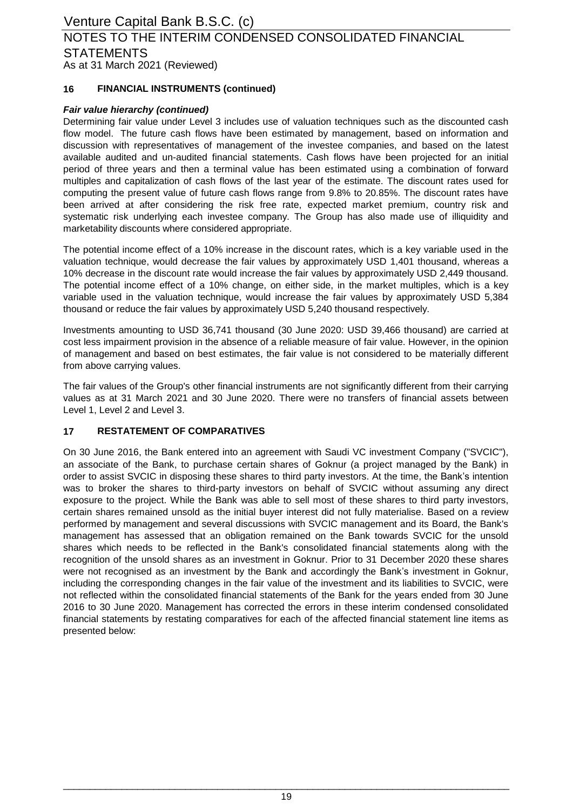### As at 31 March 2021 (Reviewed) Venture Capital Bank B.S.C. (c) NOTES TO THE INTERIM CONDENSED CONSOLIDATED FINANCIAL **STATEMENTS**

### **16 FINANCIAL INSTRUMENTS (continued)**

### *Fair value hierarchy (continued)*

Determining fair value under Level 3 includes use of valuation techniques such as the discounted cash flow model. The future cash flows have been estimated by management, based on information and discussion with representatives of management of the investee companies, and based on the latest available audited and un-audited financial statements. Cash flows have been projected for an initial period of three years and then a terminal value has been estimated using a combination of forward multiples and capitalization of cash flows of the last year of the estimate. The discount rates used for computing the present value of future cash flows range from 9.8% to 20.85%. The discount rates have been arrived at after considering the risk free rate, expected market premium, country risk and systematic risk underlying each investee company. The Group has also made use of illiquidity and marketability discounts where considered appropriate.

The potential income effect of a 10% increase in the discount rates, which is a key variable used in the valuation technique, would decrease the fair values by approximately USD 1,401 thousand, whereas a 10% decrease in the discount rate would increase the fair values by approximately USD 2,449 thousand. The potential income effect of a 10% change, on either side, in the market multiples, which is a key variable used in the valuation technique, would increase the fair values by approximately USD 5,384 thousand or reduce the fair values by approximately USD 5,240 thousand respectively.

Investments amounting to USD 36,741 thousand (30 June 2020: USD 39,466 thousand) are carried at cost less impairment provision in the absence of a reliable measure of fair value. However, in the opinion of management and based on best estimates, the fair value is not considered to be materially different from above carrying values.

The fair values of the Group's other financial instruments are not significantly different from their carrying values as at 31 March 2021 and 30 June 2020. There were no transfers of financial assets between Level 1, Level 2 and Level 3.

### **17 RESTATEMENT OF COMPARATIVES**

On 30 June 2016, the Bank entered into an agreement with Saudi VC investment Company ("SVCIC"), an associate of the Bank, to purchase certain shares of Goknur (a project managed by the Bank) in order to assist SVCIC in disposing these shares to third party investors. At the time, the Bank's intention was to broker the shares to third-party investors on behalf of SVCIC without assuming any direct exposure to the project. While the Bank was able to sell most of these shares to third party investors, certain shares remained unsold as the initial buyer interest did not fully materialise. Based on a review performed by management and several discussions with SVCIC management and its Board, the Bank's management has assessed that an obligation remained on the Bank towards SVCIC for the unsold shares which needs to be reflected in the Bank's consolidated financial statements along with the recognition of the unsold shares as an investment in Goknur. Prior to 31 December 2020 these shares were not recognised as an investment by the Bank and accordingly the Bank's investment in Goknur, including the corresponding changes in the fair value of the investment and its liabilities to SVCIC, were not reflected within the consolidated financial statements of the Bank for the years ended from 30 June 2016 to 30 June 2020. Management has corrected the errors in these interim condensed consolidated financial statements by restating comparatives for each of the affected financial statement line items as presented below: